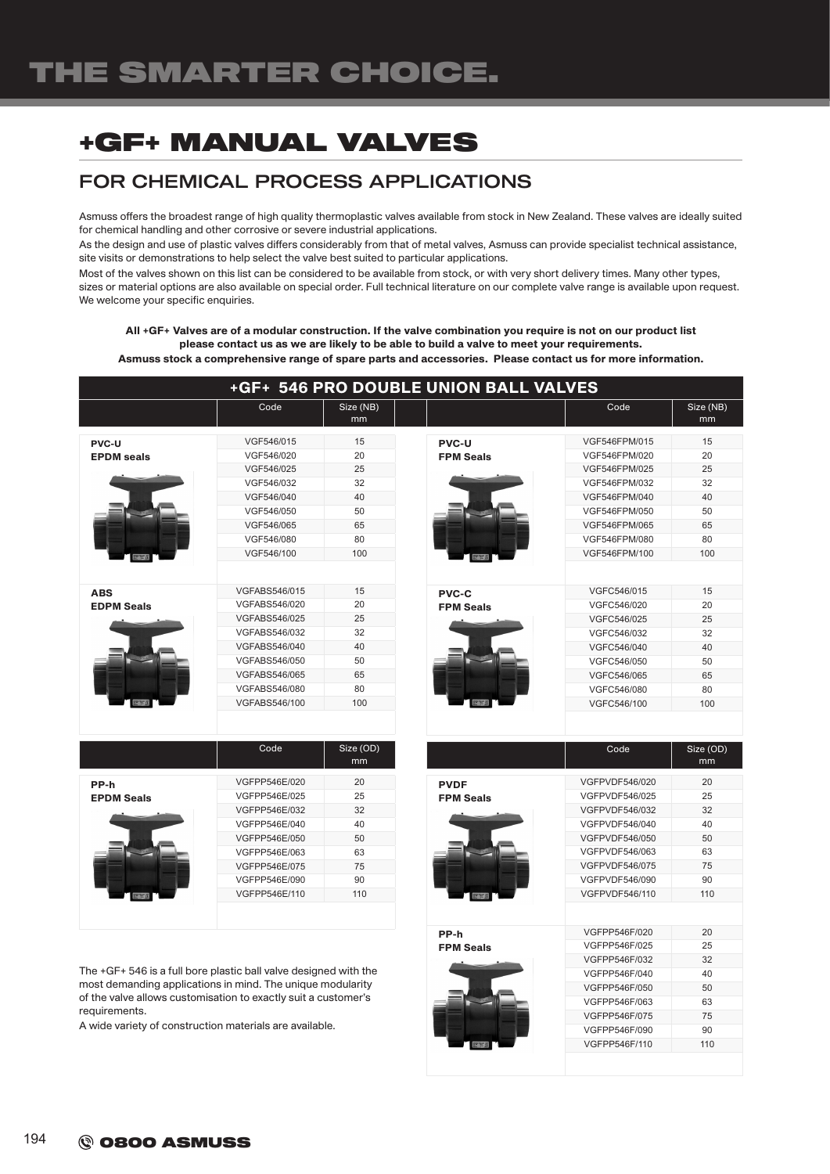## FOR CHEMICAL PROCESS APPLICATIONS

Asmuss offers the broadest range of high quality thermoplastic valves available from stock in New Zealand. These valves are ideally suited for chemical handling and other corrosive or severe industrial applications.

As the design and use of plastic valves differs considerably from that of metal valves, Asmuss can provide specialist technical assistance, site visits or demonstrations to help select the valve best suited to particular applications.

Most of the valves shown on this list can be considered to be available from stock, or with very short delivery times. Many other types, sizes or material options are also available on special order. Full technical literature on our complete valve range is available upon request. We welcome your specific enquiries.

All +GF+ Valves are of a modular construction. If the valve combination you require is not on our product list please contact us as we are likely to be able to build a valve to meet your requirements.

Asmuss stock a comprehensive range of spare parts and accessories. Please contact us for more information.

|                                               | <b>+GF+ 546 PRO DOUBLE UNION BALL VALVES</b>                                                                                                          |                                                     |                                          |                                                                                                                                     |                                                     |
|-----------------------------------------------|-------------------------------------------------------------------------------------------------------------------------------------------------------|-----------------------------------------------------|------------------------------------------|-------------------------------------------------------------------------------------------------------------------------------------|-----------------------------------------------------|
|                                               | Code                                                                                                                                                  | Size (NB)<br>mm                                     |                                          | Code                                                                                                                                | Size (NB)<br>mm                                     |
| <b>PVC-U</b><br><b>EPDM</b> seals             | VGF546/015<br>VGF546/020<br>VGF546/025<br>VGF546/032<br>VGF546/040<br>VGF546/050<br>VGF546/065                                                        | 15<br>20<br>25<br>32<br>40<br>50<br>65              | <b>PVC-U</b><br><b>FPM Seals</b>         | VGF546FPM/015<br>VGF546FPM/020<br>VGF546FPM/025<br>VGF546FPM/032<br>VGF546FPM/040<br>VGF546FPM/050<br>VGF546FPM/065                 | 15<br>20<br>25<br>32<br>40<br>50<br>65              |
| <b>THE REAL</b>                               | VGF546/080<br>VGF546/100                                                                                                                              | 80<br>100                                           | 27720                                    | VGF546FPM/080<br>VGF546FPM/100                                                                                                      | 80<br>100                                           |
| <b>ABS</b><br><b>EDPM Seals</b><br><b>FRA</b> | VGFABS546/015<br>VGFABS546/020<br>VGFABS546/025<br>VGFABS546/032<br>VGFABS546/040<br>VGFABS546/050<br>VGFABS546/065<br>VGFABS546/080<br>VGFABS546/100 | 15<br>20<br>25<br>32<br>40<br>50<br>65<br>80<br>100 | <b>PVC-C</b><br><b>FPM Seals</b><br>2770 | VGFC546/015<br>VGFC546/020<br>VGFC546/025<br>VGFC546/032<br>VGFC546/040<br>VGFC546/050<br>VGFC546/065<br>VGFC546/080<br>VGFC546/100 | 15<br>20<br>25<br>32<br>40<br>50<br>65<br>80<br>100 |
|                                               | Code                                                                                                                                                  | Size (OD)<br>mm                                     |                                          | Code                                                                                                                                | Size (OD)<br>mm                                     |

|                   |               | .<br>mm |
|-------------------|---------------|---------|
| PP-h              | VGFPP546E/020 | 20      |
| <b>EPDM Seals</b> | VGFPP546E/025 | 25      |
|                   | VGFPP546E/032 | 32      |
|                   | VGFPP546E/040 | 40      |
|                   | VGFPP546E/050 | 50      |
|                   | VGFPP546E/063 | 63      |
|                   | VGFPP546E/075 | 75      |
|                   | VGFPP546E/090 | 90      |
|                   | VGFPP546E/110 | 110     |
|                   |               |         |

The +GF+ 546 is a full bore plastic ball valve designed with the most demanding applications in mind. The unique modularity of the valve allows customisation to exactly suit a customer's requirements.

A wide variety of construction materials are available.

PVDF FPM Seals VGFPVDF546/020 20 VGFPVDF546/025 25 VGFPVDF546/032 32  $VGF$ PVDE546/040 40 VGFPVDF546/050 50 VGEPVDE546/063 63 VGFPVDF546/075 75 VGFPVDF546/090 90 VGFPVDF546/110 110 PP-h FPM Seals VGFPP546F/020 20 VGFPP546F/025 25 VGFPP546F/032 32 VGFPP546F/040 40 VGFPP546F/050 50 VGFPP546F/063 63 VGFPP546F/075 75 VGFPP546F/090 90 VGFPP546F/110 110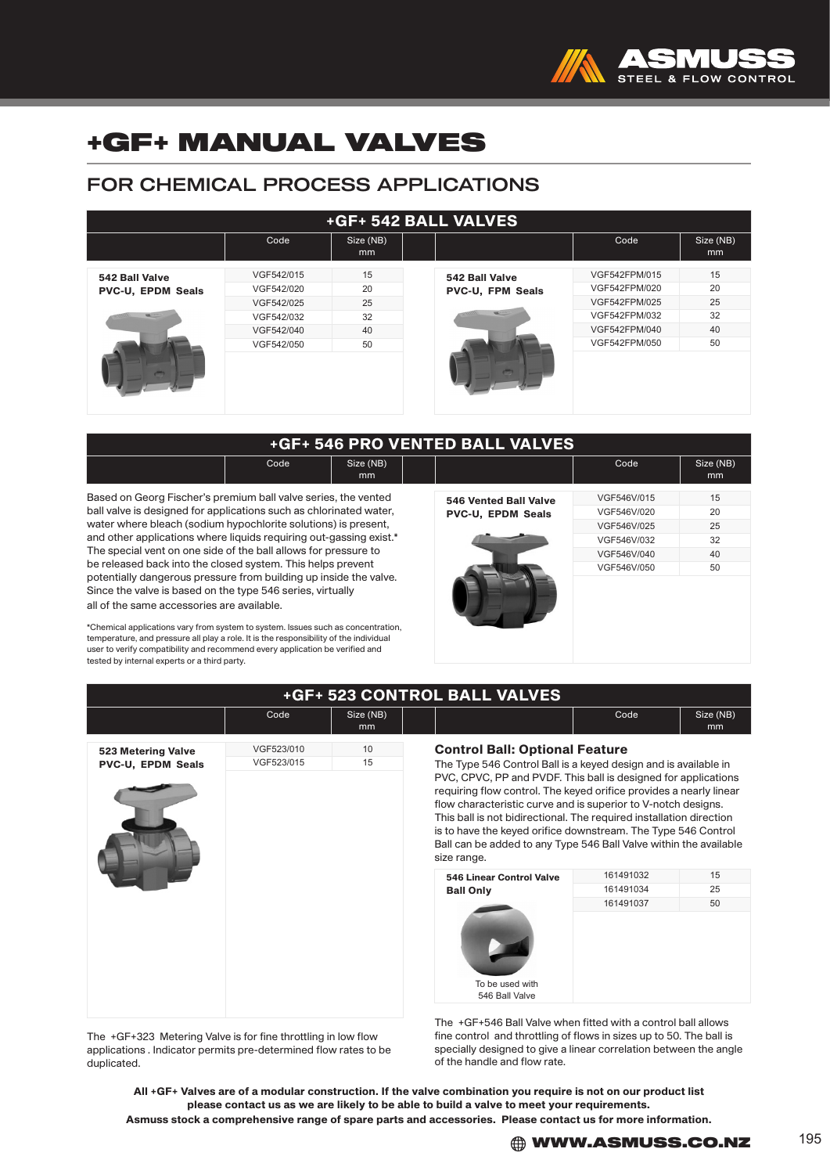

### FOR CHEMICAL PROCESS APPLICATIONS

| <b>+GF+ 542 BALL VALVES</b> |            |                             |                         |               |                 |  |
|-----------------------------|------------|-----------------------------|-------------------------|---------------|-----------------|--|
|                             | Code       | Size (NB)<br>m <sub>m</sub> |                         | Code          | Size (NB)<br>mm |  |
| 542 Ball Valve              | VGF542/015 | 15                          | 542 Ball Valve          | VGF542FPM/015 | 15              |  |
| <b>PVC-U, EPDM Seals</b>    | VGF542/020 | 20                          | <b>PVC-U, FPM Seals</b> | VGF542FPM/020 | 20              |  |
|                             | VGF542/025 | 25                          |                         | VGF542FPM/025 | 25              |  |
| $\frac{1}{2}$               | VGF542/032 | 32                          | 1000                    | VGF542FPM/032 | 32              |  |
|                             | VGF542/040 | 40                          |                         | VGF542FPM/040 | 40              |  |
|                             | VGF542/050 | 50                          |                         | VGF542FPM/050 | 50              |  |
|                             |            |                             |                         |               |                 |  |

| +GF+ 546 PRO VENTED BALL VALVES |      |                 |  |  |      |                 |  |
|---------------------------------|------|-----------------|--|--|------|-----------------|--|
|                                 | Code | Size (NB)<br>mm |  |  | Code | Size (NB)<br>mm |  |

Based on Georg Fischer's premium ball valve series, the vented ball valve is designed for applications such as chlorinated water, water where bleach (sodium hypochlorite solutions) is present, and other applications where liquids requiring out-gassing exist.\* The special vent on one side of the ball allows for pressure to be released back into the closed system. This helps prevent potentially dangerous pressure from building up inside the valve. Since the valve is based on the type 546 series, virtually all of the same accessories are available.

\*Chemical applications vary from system to system. Issues such as concentration, temperature, and pressure all play a role. It is the responsibility of the individual user to verify compatibility and recommend every application be verified and tested by internal experts or a third party.

|                              |             | ---<br>$\cdots$<br>mm |
|------------------------------|-------------|-----------------------|
| <b>546 Vented Ball Valve</b> | VGF546V/015 | 15                    |
| PVC-U, EPDM Seals            | VGF546V/020 | 20                    |
|                              | VGF546V/025 | 25                    |
|                              | VGF546V/032 | 32                    |
|                              | VGF546V/040 | 40                    |
|                              | VGF546V/050 | 50                    |
|                              |             |                       |

|                    | Code       | Size (NB)<br>mm |                                                                                                                                                                                                                                                                                                                                                                                                                  | Code                   | Size (NB)<br>mm |
|--------------------|------------|-----------------|------------------------------------------------------------------------------------------------------------------------------------------------------------------------------------------------------------------------------------------------------------------------------------------------------------------------------------------------------------------------------------------------------------------|------------------------|-----------------|
| 523 Metering Valve | VGF523/010 | 10              | <b>Control Ball: Optional Feature</b>                                                                                                                                                                                                                                                                                                                                                                            |                        |                 |
| PVC-U, EPDM Seals  | VGF523/015 | 15              | The Type 546 Control Ball is a keyed design and is available in<br>PVC, CPVC, PP and PVDF. This ball is designed for applications<br>requiring flow control. The keyed orifice provides a nearly linear<br>flow characteristic curve and is superior to V-notch designs.<br>This ball is not bidirectional. The required installation direction<br>is to have the keyed orifice downstream. The Type 546 Control |                        |                 |
|                    |            |                 | Ball can be added to any Type 546 Ball Valve within the available<br>size range.                                                                                                                                                                                                                                                                                                                                 |                        |                 |
|                    |            |                 | <b>546 Linear Control Valve</b>                                                                                                                                                                                                                                                                                                                                                                                  | 161491032              | 15              |
|                    |            |                 | <b>Ball Only</b>                                                                                                                                                                                                                                                                                                                                                                                                 | 161491034<br>161491037 | 25<br>50        |

The +GF+323 Metering Valve is for fine throttling in low flow applications . Indicator permits pre-determined flow rates to be duplicated.

control and throttling of flows in sizes up to 50. The specially designed to give a linear correlation between the angle of the handle and flow rate.

All +GF+ Valves are of a modular construction. If the valve combination you require is not on our product list please contact us as we are likely to be able to build a valve to meet your requirements.

Asmuss stock a comprehensive range of spare parts and accessories. Please contact us for more information.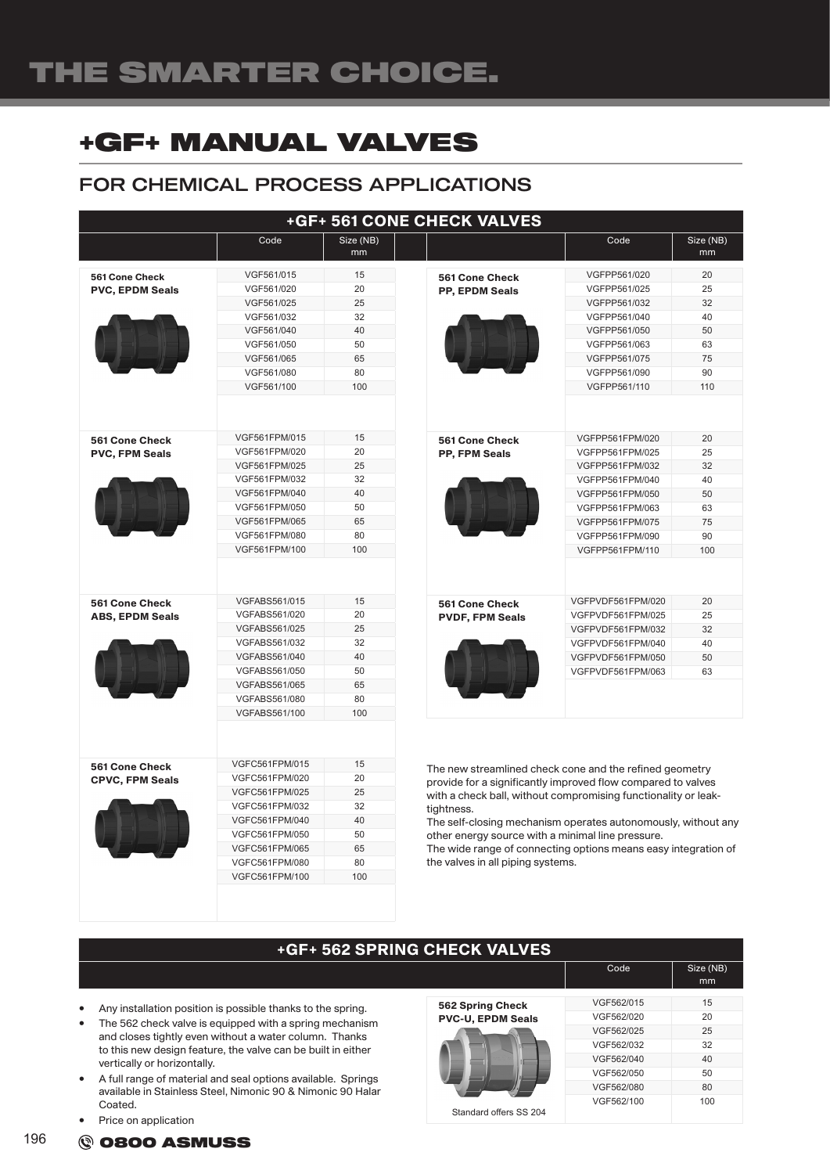### FOR CHEMICAL PROCESS APPLICATIONS

|                                                 |                                                                                                                                                                |                                                     | +GF+ 561 CONE CHECK VALVES                                                                                                                                                                                                                                                                                                                                                                                                           |                                                                                                                                                                         |                                                     |
|-------------------------------------------------|----------------------------------------------------------------------------------------------------------------------------------------------------------------|-----------------------------------------------------|--------------------------------------------------------------------------------------------------------------------------------------------------------------------------------------------------------------------------------------------------------------------------------------------------------------------------------------------------------------------------------------------------------------------------------------|-------------------------------------------------------------------------------------------------------------------------------------------------------------------------|-----------------------------------------------------|
|                                                 | Code                                                                                                                                                           | Size (NB)<br>mm                                     |                                                                                                                                                                                                                                                                                                                                                                                                                                      | Code                                                                                                                                                                    | Size (NB)<br>mm                                     |
| 561 Cone Check<br><b>PVC, EPDM Seals</b>        | VGF561/015<br>VGF561/020<br>VGF561/025<br>VGF561/032<br>VGF561/040<br>VGF561/050                                                                               | 15<br>20<br>25<br>32<br>40<br>50                    | <b>561 Cone Check</b><br><b>PP, EPDM Seals</b>                                                                                                                                                                                                                                                                                                                                                                                       | VGFPP561/020<br>VGFPP561/025<br>VGFPP561/032<br>VGFPP561/040<br>VGFPP561/050<br>VGFPP561/063                                                                            | 20<br>25<br>32<br>40<br>50<br>63                    |
|                                                 | VGF561/065<br>VGF561/080<br>VGF561/100                                                                                                                         | 65<br>80<br>100                                     |                                                                                                                                                                                                                                                                                                                                                                                                                                      | VGFPP561/075<br>VGFPP561/090<br>VGFPP561/110                                                                                                                            | 75<br>90<br>110                                     |
| <b>561 Cone Check</b><br><b>PVC, FPM Seals</b>  | VGF561FPM/015<br>VGF561FPM/020<br>VGF561FPM/025<br>VGF561FPM/032<br>VGF561FPM/040<br>VGF561FPM/050<br>VGF561FPM/065<br>VGF561FPM/080<br>VGF561FPM/100          | 15<br>20<br>25<br>32<br>40<br>50<br>65<br>80<br>100 | <b>561 Cone Check</b><br>PP, FPM Seals                                                                                                                                                                                                                                                                                                                                                                                               | VGFPP561FPM/020<br>VGFPP561FPM/025<br>VGFPP561FPM/032<br>VGFPP561FPM/040<br>VGFPP561FPM/050<br>VGFPP561FPM/063<br>VGFPP561FPM/075<br>VGFPP561FPM/090<br>VGFPP561FPM/110 | 20<br>25<br>32<br>40<br>50<br>63<br>75<br>90<br>100 |
| <b>561 Cone Check</b><br><b>ABS, EPDM Seals</b> | VGFABS561/015<br>VGFABS561/020<br><b>VGFABS561/025</b><br>VGFABS561/032<br>VGFABS561/040<br>VGFABS561/050<br>VGFABS561/065<br>VGFABS561/080<br>VGFABS561/100   | 15<br>20<br>25<br>32<br>40<br>50<br>65<br>80<br>100 | <b>561 Cone Check</b><br><b>PVDF, FPM Seals</b>                                                                                                                                                                                                                                                                                                                                                                                      | VGFPVDF561FPM/020<br>VGFPVDF561FPM/025<br>VGFPVDF561FPM/032<br>VGFPVDF561FPM/040<br>VGFPVDF561FPM/050<br>VGFPVDF561FPM/063                                              | 20<br>25<br>32<br>40<br>50<br>63                    |
| 561 Cone Check<br><b>CPVC, FPM Seals</b>        | VGFC561FPM/015<br>VGFC561FPM/020<br>VGFC561FPM/025<br>VGFC561FPM/032<br>VGFC561FPM/040<br>VGFC561FPM/050<br>VGFC561FPM/065<br>VGFC561FPM/080<br>VGFC561FPM/100 | 15<br>20<br>25<br>32<br>40<br>50<br>65<br>80<br>100 | The new streamlined check cone and the refined geometry<br>provide for a significantly improved flow compared to valves<br>with a check ball, without compromising functionality or leak-<br>tightness.<br>The self-closing mechanism operates autonomously, without any<br>other energy source with a minimal line pressure.<br>The wide range of connecting options means easy integration of<br>the valves in all piping systems. |                                                                                                                                                                         |                                                     |

- Any installation position is possible thanks to the spring.
- The 562 check valve is equipped with a spring mechanism and closes tightly even without a water column. Thanks to this new design feature, the valve can be built in either vertically or horizontally.
- A full range of material and seal options available. Springs available in Stainless Steel, Nimonic 90 & Nimonic 90 Halar Coated.
- Price on application

|               |                          | Code       | Size (NB)<br>mm |
|---------------|--------------------------|------------|-----------------|
|               |                          |            |                 |
| he spring.    | 562 Spring Check         | VGF562/015 | 15              |
| mechanism     | <b>PVC-U, EPDM Seals</b> | VGF562/020 | 20              |
| າ. Thanks     |                          | VGF562/025 | 25              |
| ilt in either |                          | VGF562/032 | 32              |
|               |                          | VGF562/040 | 40              |
| ble. Springs  |                          | VGF562/050 | 50              |
| nic 90 Halar  |                          | VGF562/080 | 80              |
|               | Standard offers SS 204   | VGF562/100 | 100             |
|               |                          |            |                 |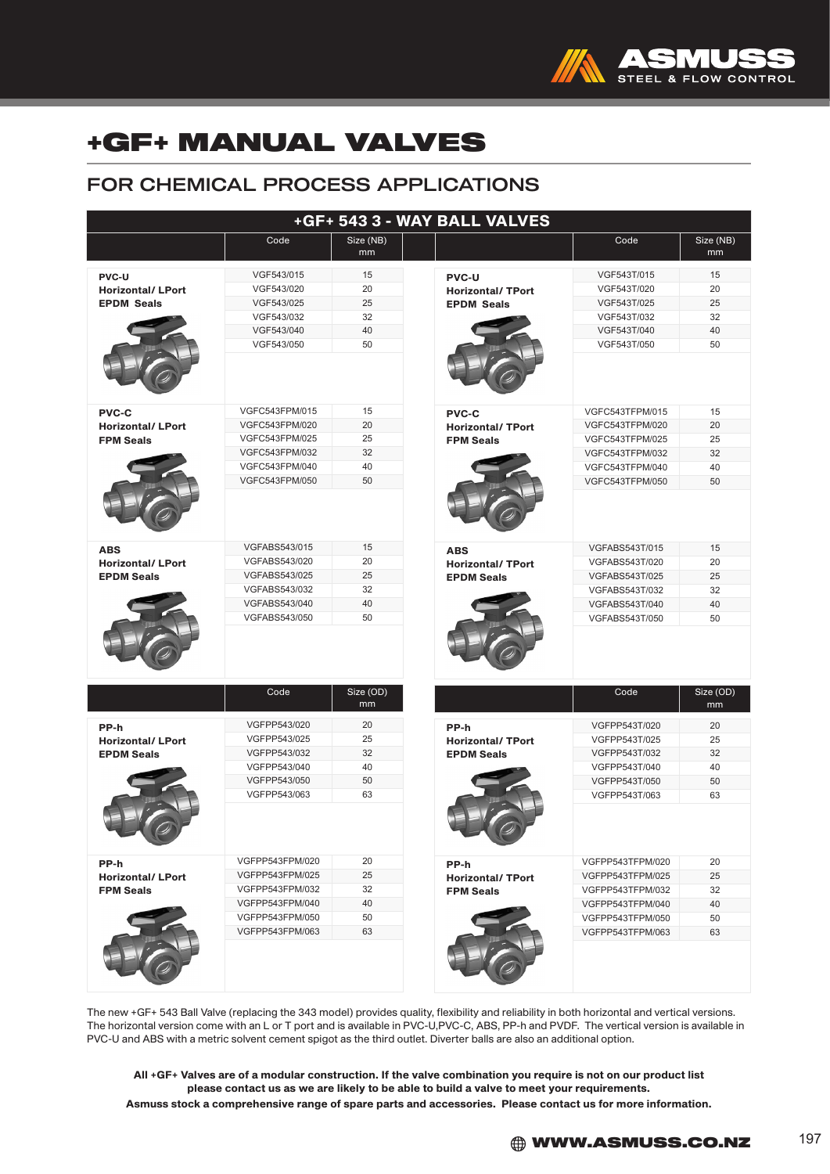

### FOR CHEMICAL PROCESS APPLICATIONS

|                                              | +GF+ 543 3 - WAY BALL VALVES |                 |                         |                       |                 |  |
|----------------------------------------------|------------------------------|-----------------|-------------------------|-----------------------|-----------------|--|
|                                              | Code                         | Size (NB)<br>mm |                         | Code                  | Size (NB)<br>mm |  |
| <b>PVC-U</b>                                 | VGF543/015                   | 15              | <b>PVC-U</b>            | VGF543T/015           | 15              |  |
| <b>Horizontal/ LPort</b>                     | VGF543/020                   | 20              | <b>Horizontal/TPort</b> | VGF543T/020           | 20              |  |
| <b>EPDM Seals</b>                            | VGF543/025                   | 25              | <b>EPDM Seals</b>       | VGF543T/025           | 25              |  |
|                                              | VGF543/032                   | 32              |                         | VGF543T/032           | 32              |  |
|                                              | VGF543/040                   | 40              |                         | VGF543T/040           | 40              |  |
|                                              | VGF543/050                   | 50              |                         | VGF543T/050           | 50              |  |
| <b>PVC-C</b>                                 | VGFC543FPM/015               | 15              | <b>PVC-C</b>            | VGFC543TFPM/015       | 15              |  |
| <b>Horizontal/ LPort</b>                     | VGFC543FPM/020               | 20              | <b>Horizontal/TPort</b> | VGFC543TFPM/020       | 20              |  |
| <b>FPM Seals</b>                             | VGFC543FPM/025               | 25              | <b>FPM Seals</b>        | VGFC543TFPM/025       | 25              |  |
|                                              | VGFC543FPM/032               | 32              |                         | VGFC543TFPM/032       | 32              |  |
|                                              | VGFC543FPM/040               | 40              |                         | VGFC543TFPM/040       | 40              |  |
|                                              | VGFC543FPM/050               | 50              |                         | VGFC543TFPM/050       | 50              |  |
|                                              |                              |                 |                         |                       |                 |  |
| <b>ABS</b>                                   | <b>VGFABS543/015</b>         | 15              | <b>ABS</b>              | <b>VGFABS543T/015</b> | 15              |  |
| <b>Horizontal/LPort</b><br><b>EPDM Seals</b> | VGFABS543/020                | 20              | <b>Horizontal/TPort</b> | VGFABS543T/020        | 20              |  |
|                                              | VGFABS543/025                | 25              | <b>EPDM Seals</b>       | VGFABS543T/025        | 25              |  |
|                                              | VGFABS543/032                | 32              |                         | VGFABS543T/032        | 32              |  |
|                                              | VGFABS543/040                | 40              |                         | VGFABS543T/040        | 40              |  |
|                                              | VGFABS543/050                | 50              |                         | VGFABS543T/050        | 50              |  |
|                                              | Code                         | Size (OD)<br>mm |                         | Code                  | Size (OD)<br>mm |  |
| PP-h                                         | VGFPP543/020                 | 20              | PP-h                    | VGFPP543T/020         | 20              |  |
| <b>Horizontal/ LPort</b>                     | VGFPP543/025                 | 25              | <b>Horizontal/TPort</b> | VGFPP543T/025         | 25              |  |
| <b>EPDM Seals</b>                            | VGFPP543/032                 | 32              | <b>EPDM Seals</b>       | VGFPP543T/032         | 32              |  |
|                                              | VGFPP543/040                 | 40              |                         | VGFPP543T/040         | 40              |  |
|                                              | VGFPP543/050                 | 50              |                         | VGFPP543T/050         | 50              |  |
|                                              | VGFPP543/063                 | 63              |                         | VGFPP543T/063         | 63              |  |
|                                              |                              |                 |                         |                       |                 |  |
| PP-h                                         | VGFPP543FPM/020              | 20              | PP-h                    | VGFPP543TFPM/020      | 20              |  |
| <b>Horizontal/ LPort</b>                     | VGFPP543FPM/025              | 25              | <b>Horizontal/TPort</b> | VGFPP543TFPM/025      | 25              |  |
| <b>FPM Seals</b>                             | VGFPP543FPM/032              | 32              | <b>FPM Seals</b>        | VGFPP543TFPM/032      | 32              |  |
|                                              | VGFPP543FPM/040              | 40              |                         | VGFPP543TFPM/040      | 40              |  |
|                                              | VGFPP543FPM/050              | 50              |                         | VGFPP543TFPM/050      | 50              |  |
|                                              | VGFPP543FPM/063              | 63              |                         | VGFPP543TFPM/063      | 63              |  |

The new +GF+ 543 Ball Valve (replacing the 343 model) provides quality, flexibility and reliability in both horizontal and vertical versions. The horizontal version come with an L or T port and is available in PVC-U,PVC-C, ABS, PP-h and PVDF. The vertical version is available in PVC-U and ABS with a metric solvent cement spigot as the third outlet. Diverter balls are also an additional option.

All +GF+ Valves are of a modular construction. If the valve combination you require is not on our product list please contact us as we are likely to be able to build a valve to meet your requirements. Asmuss stock a comprehensive range of spare parts and accessories. Please contact us for more information.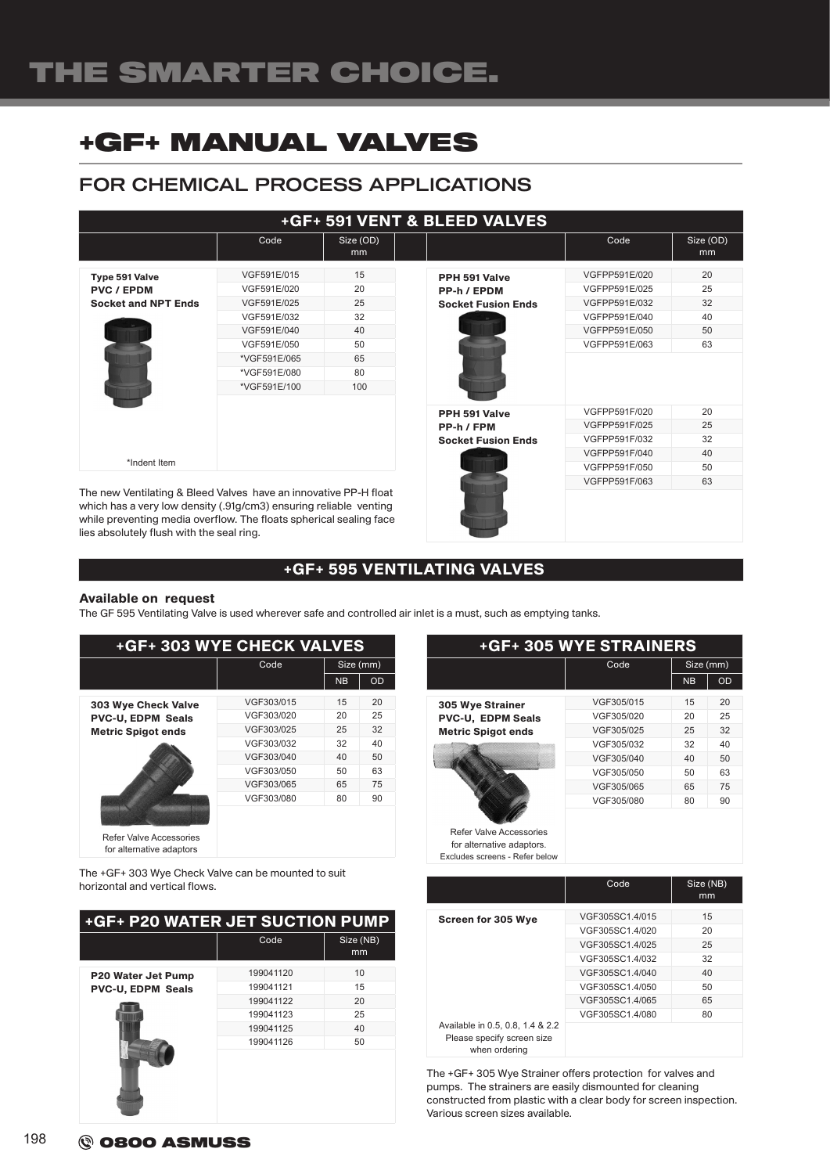### FOR CHEMICAL PROCESS APPLICATIONS

|                                                                                                                                       | <b>+GF+ 591 VENT &amp; BLEED VALVES</b> |                 |                                          |                                |                 |  |
|---------------------------------------------------------------------------------------------------------------------------------------|-----------------------------------------|-----------------|------------------------------------------|--------------------------------|-----------------|--|
|                                                                                                                                       | Code                                    | Size (OD)<br>mm |                                          | Code                           | Size (OD)<br>mm |  |
| Type 591 Valve                                                                                                                        | VGF591E/015                             | 15              | PPH 591 Valve                            | VGFPP591E/020                  | 20              |  |
| <b>PVC / EPDM</b><br><b>Socket and NPT Ends</b>                                                                                       | VGF591E/020<br>VGF591E/025              | 20<br>25        | PP-h / EPDM<br><b>Socket Fusion Ends</b> | VGFPP591E/025<br>VGFPP591E/032 | 25<br>32        |  |
|                                                                                                                                       | VGF591E/032                             | 32              |                                          | VGFPP591E/040                  | 40              |  |
|                                                                                                                                       | VGF591E/040<br>VGF591E/050              | 40<br>50        |                                          | VGFPP591E/050<br>VGFPP591E/063 | 50<br>63        |  |
|                                                                                                                                       | *VGF591E/065<br>*VGF591E/080            | 65<br>80        |                                          |                                |                 |  |
|                                                                                                                                       | *VGF591E/100                            | 100             |                                          |                                |                 |  |
|                                                                                                                                       |                                         |                 | PPH 591 Valve                            | VGFPP591F/020                  | 20              |  |
|                                                                                                                                       |                                         |                 | PP-h / FPM                               | VGFPP591F/025                  | 25              |  |
|                                                                                                                                       |                                         |                 | <b>Socket Fusion Ends</b>                | VGFPP591F/032                  | 32              |  |
|                                                                                                                                       |                                         |                 |                                          | VGFPP591F/040                  | 40              |  |
| *Indent Item                                                                                                                          |                                         |                 |                                          | VGFPP591F/050                  | 50              |  |
|                                                                                                                                       |                                         |                 |                                          | VGFPP591F/063                  | 63              |  |
| The new Ventilating & Bleed Valves have an innovative PP-H float<br>which has a very low density (.91g/cm3) ensuring reliable venting |                                         |                 |                                          |                                |                 |  |

while preventing media overflow. The floats spherical sealing face lies absolutely flush with the seal ring.

### +GF+ 595 VENTILATING VALVES

#### Available on request

The GF 595 Ventilating Valve is used wherever safe and controlled air inlet is a must, such as emptying tanks.

| +GF+ 303 WYE CHECK VALVES                           |            |           |           |  |  |
|-----------------------------------------------------|------------|-----------|-----------|--|--|
|                                                     | Code       |           | Size (mm) |  |  |
|                                                     |            | <b>NB</b> | <b>OD</b> |  |  |
| 303 Wye Check Valve                                 | VGF303/015 | 15        | 20        |  |  |
| <b>PVC-U, EDPM Seals</b>                            | VGF303/020 | 20        | 25        |  |  |
| <b>Metric Spigot ends</b>                           | VGF303/025 | 25        | 32        |  |  |
|                                                     | VGF303/032 | 32        | 40        |  |  |
|                                                     | VGF303/040 | 40        | 50        |  |  |
|                                                     | VGF303/050 | 50        | 63        |  |  |
|                                                     | VGF303/065 | 65        | 75        |  |  |
|                                                     | VGF303/080 | 80        | 90        |  |  |
| Refer Valve Accessories<br>for alternative adaptors |            |           |           |  |  |

The +GF+ 303 Wye Check Valve can be mounted to suit horizontal and vertical flows.

| +GF+ P20 WATER JET SUCTION PUMP |           |                 |  |  |
|---------------------------------|-----------|-----------------|--|--|
|                                 | Code      | Size (NB)<br>mm |  |  |
| <b>P20 Water Jet Pump</b>       | 199041120 | 10              |  |  |
| <b>PVC-U, EDPM Seals</b>        | 199041121 | 15              |  |  |
|                                 | 199041122 | 20              |  |  |
|                                 | 199041123 | 25              |  |  |
|                                 | 199041125 | 40              |  |  |
|                                 | 199041126 | 50              |  |  |
|                                 |           |                 |  |  |

| <b>+GF+ 305 WYE STRAINERS</b>                                                                 |            |           |           |  |
|-----------------------------------------------------------------------------------------------|------------|-----------|-----------|--|
|                                                                                               | Code       | Size (mm) |           |  |
|                                                                                               |            | <b>NB</b> | <b>OD</b> |  |
| <b>305 Wye Strainer</b>                                                                       | VGF305/015 | 15        | 20        |  |
| PVC-U, EDPM Seals                                                                             | VGF305/020 | 20        | 25        |  |
| <b>Metric Spigot ends</b>                                                                     | VGF305/025 | 25        | 32        |  |
|                                                                                               | VGF305/032 | 32        | 40        |  |
|                                                                                               | VGF305/040 | 40        | 50        |  |
|                                                                                               | VGF305/050 | 50        | 63        |  |
|                                                                                               | VGF305/065 | 65        | 75        |  |
|                                                                                               | VGF305/080 | 80        | 90        |  |
| <b>Refer Valve Accessories</b><br>for alternative adaptors.<br>Excludes screens - Refer below |            |           |           |  |

|                                                                                 | Code            | Size (NB)<br>mm |
|---------------------------------------------------------------------------------|-----------------|-----------------|
|                                                                                 |                 |                 |
| Screen for 305 Wye                                                              | VGF305SC1.4/015 | 15              |
|                                                                                 | VGF305SC1.4/020 | 20              |
|                                                                                 | VGF305SC1.4/025 | 25              |
|                                                                                 | VGF305SC1.4/032 | 32              |
|                                                                                 | VGF305SC1.4/040 | 40              |
|                                                                                 | VGF305SC1.4/050 | 50              |
|                                                                                 | VGF305SC1.4/065 | 65              |
|                                                                                 | VGF305SC1.4/080 | 80              |
| Available in 0.5, 0.8, 1.4 & 2.2<br>Please specify screen size<br>when ordering |                 |                 |

The +GF+ 305 Wye Strainer offers protection for valves and pumps. The strainers are easily dismounted for cleaning constructed from plastic with a clear body for screen inspection. Various screen sizes available.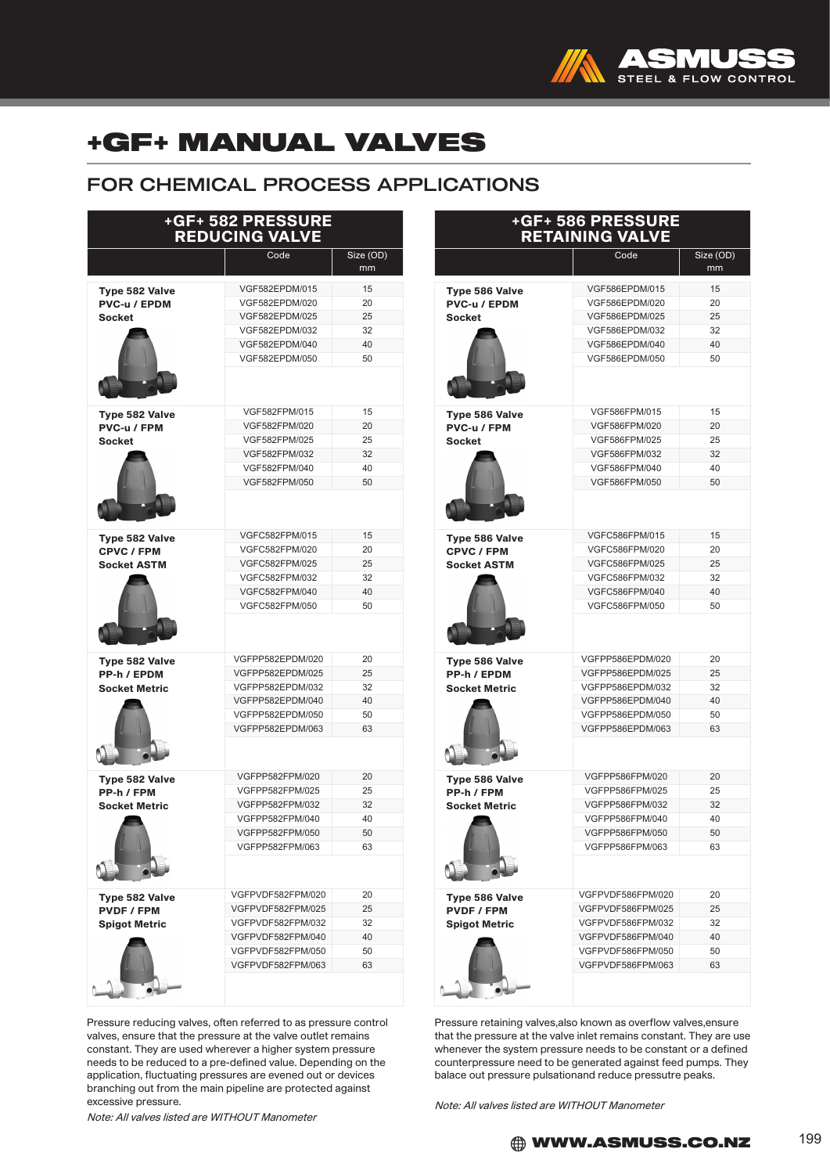

### FOR CHEMICAL PROCESS APPLICATIONS

| +GF+ 582 PRESSURE<br><b>REDUCING VALVE</b> |                   |                 |  |  |
|--------------------------------------------|-------------------|-----------------|--|--|
|                                            | Code              | Size (OD)<br>mm |  |  |
| Type 582 Valve                             | VGF582EPDM/015    | 15              |  |  |
| PVC-u / EPDM                               | VGF582EPDM/020    | 20              |  |  |
| Socket                                     | VGF582EPDM/025    | 25              |  |  |
|                                            | VGF582EPDM/032    | 32              |  |  |
|                                            | VGF582EPDM/040    | 40              |  |  |
|                                            | VGF582EPDM/050    | 50              |  |  |
|                                            |                   |                 |  |  |
| Type 582 Valve                             | VGF582FPM/015     | 15              |  |  |
| PVC-u / FPM                                | VGF582FPM/020     | 20              |  |  |
| <b>Socket</b>                              | VGF582FPM/025     | 25              |  |  |
|                                            | VGF582FPM/032     | 32              |  |  |
|                                            | VGF582FPM/040     | 40              |  |  |
|                                            | VGF582FPM/050     | 50              |  |  |
|                                            |                   |                 |  |  |
| Type 582 Valve                             | VGFC582FPM/015    | 15              |  |  |
| <b>CPVC / FPM</b>                          | VGFC582FPM/020    | 20              |  |  |
| <b>Socket ASTM</b>                         | VGFC582FPM/025    | 25              |  |  |
|                                            | VGFC582FPM/032    | 32              |  |  |
|                                            | VGFC582FPM/040    | 40              |  |  |
|                                            | VGFC582FPM/050    | 50              |  |  |
| Type 582 Valve                             | VGFPP582EPDM/020  | 20              |  |  |
| PP-h / EPDM                                | VGFPP582EPDM/025  | 25              |  |  |
| <b>Socket Metric</b>                       | VGFPP582EPDM/032  | 32              |  |  |
|                                            | VGFPP582EPDM/040  | 40              |  |  |
|                                            | VGFPP582EPDM/050  | 50              |  |  |
|                                            | VGFPP582EPDM/063  | 63              |  |  |
|                                            |                   |                 |  |  |
| Type 582 Valve                             | VGFPP582FPM/020   | 20              |  |  |
| PP-h / FPM                                 | VGFPP582FPM/025   | 25              |  |  |
| <b>Socket Metric</b>                       | VGFPP582FPM/032   | 32              |  |  |
|                                            | VGFPP582FPM/040   | 40              |  |  |
|                                            | VGFPP582FPM/050   | 50              |  |  |
|                                            | VGFPP582FPM/063   | 63              |  |  |
|                                            |                   |                 |  |  |
| Type 582 Valve                             | VGFPVDF582FPM/020 | 20              |  |  |
| <b>PVDF / FPM</b>                          | VGFPVDF582FPM/025 | 25              |  |  |
| <b>Spigot Metric</b>                       | VGFPVDF582FPM/032 | 32              |  |  |
|                                            | VGFPVDF582FPM/040 | 40              |  |  |
|                                            | VGFPVDF582FPM/050 | 50              |  |  |
|                                            | VGFPVDF582FPM/063 | 63              |  |  |
|                                            |                   |                 |  |  |

Pressure reducing valves, often referred to as pressure control valves, ensure that the pressure at the valve outlet remains constant. They are used wherever a higher system pressure needs to be reduced to a pre-defined value. Depending on the application, fluctuating pressures are evened out or devices branching out from the main pipeline are protected against excessive pressure.

Note: All valves listed are WITHOUT Manometer

| +GF+ 586 PRESSURE<br><b>RETAINING VALVE</b> |                                        |                              |  |  |
|---------------------------------------------|----------------------------------------|------------------------------|--|--|
|                                             | Code                                   | Size (OD)<br>$\overline{mm}$ |  |  |
| Type 586 Valve                              | VGF586EPDM/015                         | 15                           |  |  |
| PVC-u / EPDM                                | VGF586EPDM/020                         | 20                           |  |  |
| <b>Socket</b>                               | VGF586EPDM/025                         | 25                           |  |  |
|                                             | VGF586EPDM/032                         | 32                           |  |  |
|                                             | VGF586EPDM/040                         | 40                           |  |  |
|                                             | VGF586EPDM/050                         | 50                           |  |  |
|                                             |                                        |                              |  |  |
| Type 586 Valve                              | VGF586FPM/015                          | 15                           |  |  |
| PVC-u / FPM                                 | VGF586FPM/020                          | 20                           |  |  |
| <b>Socket</b>                               | VGF586FPM/025                          | 25                           |  |  |
|                                             | VGF586FPM/032                          | 32                           |  |  |
|                                             | VGF586FPM/040                          | 40                           |  |  |
|                                             | VGF586FPM/050                          | 50                           |  |  |
|                                             | VGFC586FPM/015                         | 15                           |  |  |
| Type 586 Valve<br>CPVC / FPM                | VGFC586FPM/020                         | 20                           |  |  |
| <b>Socket ASTM</b>                          | VGFC586FPM/025                         | 25                           |  |  |
|                                             | VGFC586FPM/032                         | 32                           |  |  |
|                                             | VGFC586FPM/040                         | 40                           |  |  |
|                                             | VGFC586FPM/050                         | 50                           |  |  |
|                                             | VGFPP586EPDM/020                       | 20                           |  |  |
| <b>Type 586 Valve</b>                       | VGFPP586EPDM/025                       | 25                           |  |  |
| PP-h / EPDM<br><b>Socket Metric</b>         | VGFPP586EPDM/032                       | 32                           |  |  |
|                                             | VGFPP586EPDM/040                       | 40                           |  |  |
|                                             | VGFPP586EPDM/050                       | 50                           |  |  |
|                                             | VGFPP586EPDM/063                       | 63                           |  |  |
|                                             |                                        |                              |  |  |
| Type 586 Valve                              | VGFPP586FPM/020                        | 20                           |  |  |
| PP-h / FPM                                  | VGFPP586FPM/025                        | 25                           |  |  |
| <b>Socket Metric</b>                        | VGFPP586FPM/032                        | 32                           |  |  |
|                                             | VGFPP586FPM/040                        | 40                           |  |  |
|                                             | VGFPP586FPM/050                        | 50                           |  |  |
|                                             | VGFPP586FPM/063                        | 63                           |  |  |
|                                             |                                        |                              |  |  |
| Type 586 Valve                              | VGFPVDF586FPM/020                      | 20                           |  |  |
| PVDF / FPM                                  | VGFPVDF586FPM/025                      | 25                           |  |  |
| <b>Spigot Metric</b>                        | VGFPVDF586FPM/032                      | 32                           |  |  |
|                                             | VGFPVDF586FPM/040                      | 40                           |  |  |
|                                             | VGFPVDF586FPM/050<br>VGFPVDF586FPM/063 | 50<br>63                     |  |  |
|                                             |                                        |                              |  |  |

Pressure retaining valves,also known as overflow valves,ensure that the pressure at the valve inlet remains constant. They are use whenever the system pressure needs to be constant or a defined counterpressure need to be generated against feed pumps. They balace out pressure pulsationand reduce pressutre peaks.

Note: All valves listed are WITHOUT Manometer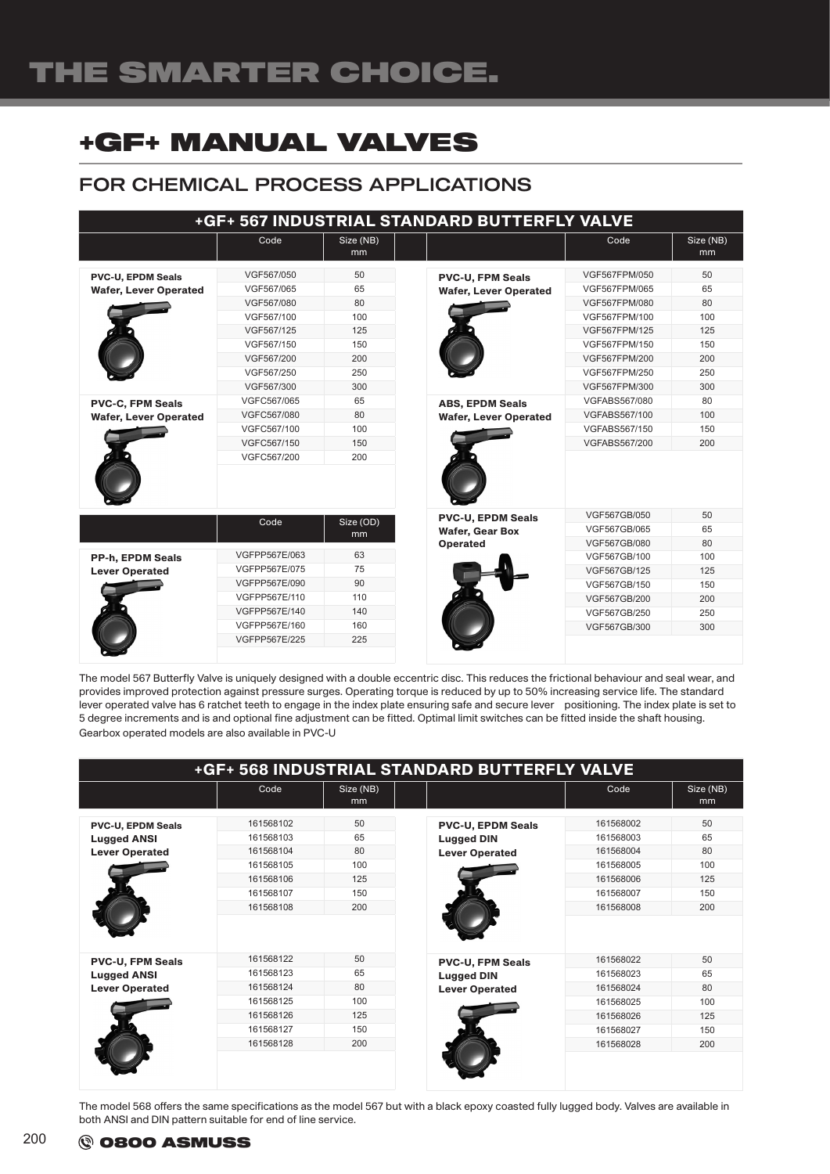# THE SMARTER CHOICE.

## +GF+ MANUAL VALVES

### FOR CHEMICAL PROCESS APPLICATIONS

| +GF+ 567 INDUSTRIAL STANDARD BUTTERFLY VALVE             |                                                                                                    |                                     |                                                                       |                                                                                                    |                                        |
|----------------------------------------------------------|----------------------------------------------------------------------------------------------------|-------------------------------------|-----------------------------------------------------------------------|----------------------------------------------------------------------------------------------------|----------------------------------------|
|                                                          | Code                                                                                               | Size (NB)<br>mm                     |                                                                       | Code                                                                                               | Size (NB)<br>mm                        |
| <b>PVC-U, EPDM Seals</b><br><b>Wafer, Lever Operated</b> | VGF567/050<br>VGF567/065<br>VGF567/080<br>VGF567/100<br>VGF567/125<br>VGF567/150                   | 50<br>65<br>80<br>100<br>125<br>150 | <b>PVC-U, FPM Seals</b><br><b>Wafer, Lever Operated</b>               | VGF567FPM/050<br>VGF567FPM/065<br>VGF567FPM/080<br>VGF567FPM/100<br>VGF567FPM/125<br>VGF567FPM/150 | 50<br>65<br>80<br>100<br>125<br>150    |
| <b>PVC-C, FPM Seals</b>                                  | VGF567/200<br>VGF567/250<br>VGF567/300<br>VGFC567/065                                              | 200<br>250<br>300<br>65             | <b>ABS, EPDM Seals</b>                                                | <b>VGF567FPM/200</b><br>VGF567FPM/250<br>VGF567FPM/300<br>VGFABS567/080                            | 200<br>250<br>300<br>80                |
| <b>Wafer, Lever Operated</b>                             | VGFC567/080<br>VGFC567/100<br>VGFC567/150<br>VGFC567/200                                           | 80<br>100<br>150<br>200             | <b>Wafer, Lever Operated</b>                                          | VGFABS567/100<br>VGFABS567/150<br>VGFABS567/200                                                    | 100<br>150<br>200                      |
|                                                          | Code                                                                                               | Size (OD)<br>mm                     | <b>PVC-U. EPDM Seals</b><br><b>Wafer, Gear Box</b><br><b>Operated</b> | VGF567GB/050<br>VGF567GB/065<br>VGF567GB/080                                                       | 50<br>65<br>80                         |
| <b>PP-h, EPDM Seals</b><br><b>Lever Operated</b>         | VGFPP567E/063<br>VGFPP567E/075<br>VGFPP567E/090<br>VGFPP567E/110<br>VGFPP567E/140<br>VGFPP567E/160 | 63<br>75<br>90<br>110<br>140<br>160 |                                                                       | VGF567GB/100<br>VGF567GB/125<br>VGF567GB/150<br>VGF567GB/200<br>VGF567GB/250<br>VGF567GB/300       | 100<br>125<br>150<br>200<br>250<br>300 |
|                                                          | VGFPP567E/225                                                                                      | 225                                 |                                                                       |                                                                                                    |                                        |

The model 567 Butterfly Valve is uniquely designed with a double eccentric disc. This reduces the frictional behaviour and seal wear, and provides improved protection against pressure surges. Operating torque is reduced by up to 50% increasing service life. The standard lever operated valve has 6 ratchet teeth to engage in the index plate ensuring safe and secure lever positioning. The index plate is set to 5 degree increments and is and optional fine adjustment can be fitted. Optimal limit switches can be fitted inside the shaft housing. Gearbox operated models are also available in PVC-U

|                                                                         |                                                                                         |                                            | +GF+ 568 INDUSTRIAL STANDARD BUTTERFLY VALVE                           |                                                                                         |                                            |
|-------------------------------------------------------------------------|-----------------------------------------------------------------------------------------|--------------------------------------------|------------------------------------------------------------------------|-----------------------------------------------------------------------------------------|--------------------------------------------|
|                                                                         | Code                                                                                    | Size (NB)<br>mm                            |                                                                        | Code                                                                                    | Size (NB)<br>mm                            |
| <b>PVC-U, EPDM Seals</b><br><b>Lugged ANSI</b><br><b>Lever Operated</b> | 161568102<br>161568103<br>161568104<br>161568105<br>161568106<br>161568107<br>161568108 | 50<br>65<br>80<br>100<br>125<br>150<br>200 | <b>PVC-U, EPDM Seals</b><br><b>Lugged DIN</b><br><b>Lever Operated</b> | 161568002<br>161568003<br>161568004<br>161568005<br>161568006<br>161568007<br>161568008 | 50<br>65<br>80<br>100<br>125<br>150<br>200 |
| <b>PVC-U, FPM Seals</b><br><b>Lugged ANSI</b><br><b>Lever Operated</b>  | 161568122<br>161568123<br>161568124<br>161568125<br>161568126<br>161568127<br>161568128 | 50<br>65<br>80<br>100<br>125<br>150<br>200 | <b>PVC-U, FPM Seals</b><br><b>Lugged DIN</b><br><b>Lever Operated</b>  | 161568022<br>161568023<br>161568024<br>161568025<br>161568026<br>161568027<br>161568028 | 50<br>65<br>80<br>100<br>125<br>150<br>200 |

The model 568 offers the same specifications as the model 567 but with a black epoxy coasted fully lugged body. Valves are available in both ANSI and DIN pattern suitable for end of line service.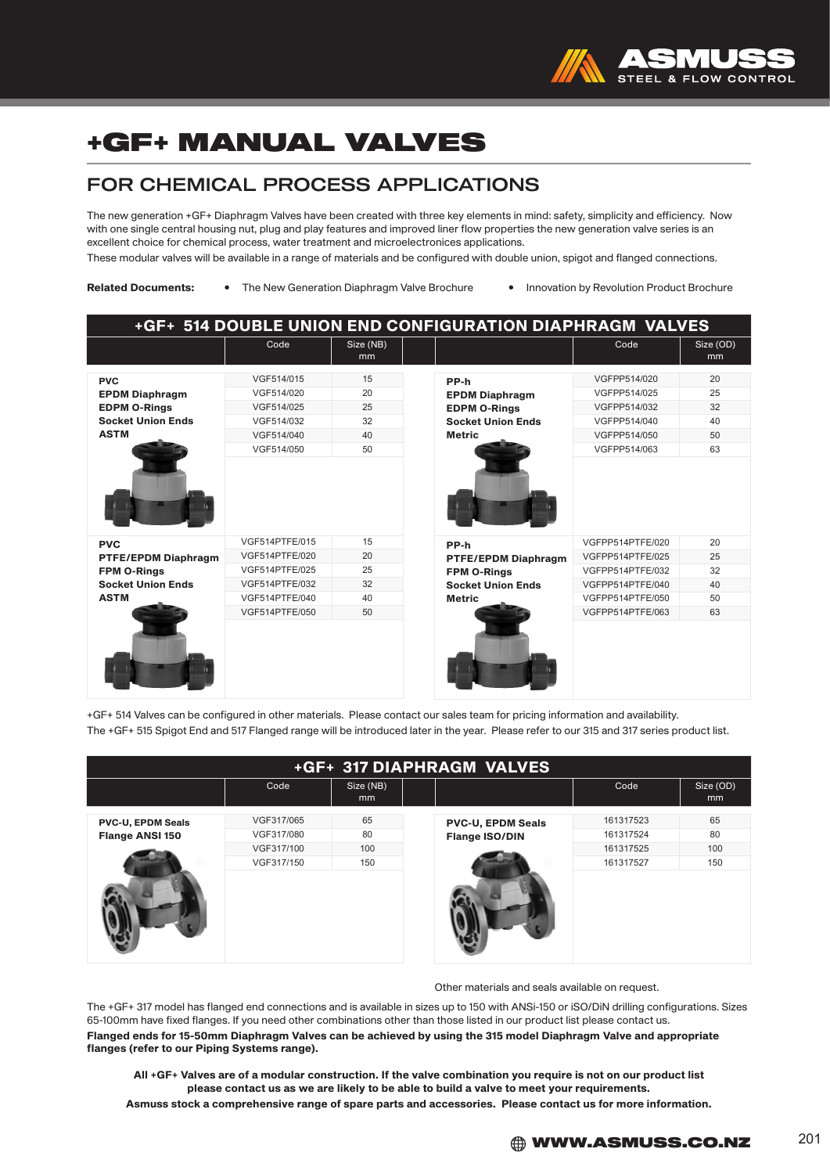

### FOR CHEMICAL PROCESS APPLICATIONS

The new generation +GF+ Diaphragm Valves have been created with three key elements in mind: safety, simplicity and efficiency. Now with one single central housing nut, plug and play features and improved liner flow properties the new generation valve series is an excellent choice for chemical process, water treatment and microelectronices applications.

These modular valves will be available in a range of materials and be configured with double union, spigot and flanged connections.

Related Documents: • The New Generation Diaphragm Valve Brochure • Innovation by Revolution Product Brochure

| <b>+GF+ 514 DOUBLE UNION END CONFIGURATION DIAPHRAGM VALVES</b>                                           |                                                                                                          |                                  |                                                                                                       |                                                                                                                      |                                  |
|-----------------------------------------------------------------------------------------------------------|----------------------------------------------------------------------------------------------------------|----------------------------------|-------------------------------------------------------------------------------------------------------|----------------------------------------------------------------------------------------------------------------------|----------------------------------|
|                                                                                                           | Code                                                                                                     | Size (NB)<br>m <sub>m</sub>      |                                                                                                       | Code                                                                                                                 | Size (OD)<br>mm                  |
| <b>PVC</b><br><b>EPDM Diaphragm</b><br><b>EDPM O-Rings</b><br><b>Socket Union Ends</b><br><b>ASTM</b>     | VGF514/015<br>VGF514/020<br>VGF514/025<br>VGF514/032<br>VGF514/040<br>VGF514/050                         | 15<br>20<br>25<br>32<br>40<br>50 | PP-h<br><b>EPDM Diaphragm</b><br><b>EDPM O-Rings</b><br><b>Socket Union Ends</b><br><b>Metric</b>     | VGFPP514/020<br>VGFPP514/025<br>VGFPP514/032<br>VGFPP514/040<br>VGFPP514/050<br>VGFPP514/063                         | 20<br>25<br>32<br>40<br>50<br>63 |
| <b>PVC</b><br><b>PTFE/EPDM Diaphragm</b><br><b>FPM O-Rings</b><br><b>Socket Union Ends</b><br><b>ASTM</b> | VGF514PTFE/015<br>VGF514PTFE/020<br>VGF514PTFE/025<br>VGF514PTFE/032<br>VGF514PTFE/040<br>VGF514PTFE/050 | 15<br>20<br>25<br>32<br>40<br>50 | PP-h<br><b>PTFE/EPDM Diaphragm</b><br><b>FPM O-Rings</b><br><b>Socket Union Ends</b><br><b>Metric</b> | VGFPP514PTFE/020<br>VGFPP514PTFE/025<br>VGFPP514PTFE/032<br>VGFPP514PTFE/040<br>VGFPP514PTFE/050<br>VGFPP514PTFE/063 | 20<br>25<br>32<br>40<br>50<br>63 |

+GF+ 514 Valves can be configured in other materials. Please contact our sales team for pricing information and availability. The +GF+ 515 Spigot End and 517 Flanged range will be introduced later in the year. Please refer to our 315 and 317 series product list.

| +GF+ 317 DIAPHRAGM VALVES                          |                          |                 |                                                   |                        |                 |
|----------------------------------------------------|--------------------------|-----------------|---------------------------------------------------|------------------------|-----------------|
|                                                    | Code                     | Size (NB)<br>mm |                                                   | Code                   | Size (OD)<br>mm |
| <b>PVC-U, EPDM Seals</b><br><b>Flange ANSI 150</b> | VGF317/065<br>VGF317/080 | 65<br>80        | <b>PVC-U, EPDM Seals</b><br><b>Flange ISO/DIN</b> | 161317523<br>161317524 | 65<br>80        |
| VGF317/100<br>VGF317/150                           | 100<br>150               |                 | 161317525<br>161317527                            | 100<br>150             |                 |
|                                                    |                          |                 |                                                   |                        |                 |

Other materials and seals available on request.

The +GF+ 317 model has flanged end connections and is available in sizes up to 150 with ANSi-150 or iSO/DiN drilling configurations. Sizes 65-100mm have fixed flanges. If you need other combinations other than those listed in our product list please contact us. Flanged ends for 15-50mm Diaphragm Valves can be achieved by using the 315 model Diaphragm Valve and appropriate flanges (refer to our Piping Systems range).

All +GF+ Valves are of a modular construction. If the valve combination you require is not on our product list please contact us as we are likely to be able to build a valve to meet your requirements. Asmuss stock a comprehensive range of spare parts and accessories. Please contact us for more information.